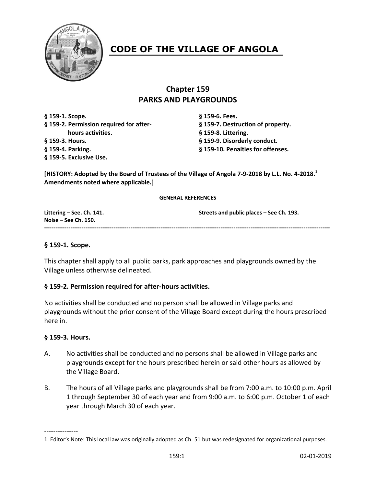

# **CODE OF THE VILLAGE OF ANGOLA**

# **Chapter 159 PARKS AND PLAYGROUNDS**

**§ 159-1. Scope. § 159-6. Fees. § 159-2. Permission required for after- § 159-7. Destruction of property. hours activities. § 159-8. Littering. § 159-3. Hours. § 159-9. Disorderly conduct. § 159-4. Parking. § 159-10. Penalties for offenses. § 159-5. Exclusive Use.**

**[HISTORY: Adopted by the Board of Trustees of the Village of Angola 7-9-2018 by L.L. No. 4-2018. 1 Amendments noted where applicable.]**

#### **GENERAL REFERENCES**

| Littering $-$ See. Ch. 141. | Streets and public places - See Ch. 193. |
|-----------------------------|------------------------------------------|
| Noise – See Ch. $150.$      |                                          |
|                             |                                          |
|                             |                                          |

# **§ 159-1. Scope.**

This chapter shall apply to all public parks, park approaches and playgrounds owned by the Village unless otherwise delineated.

# **§ 159-2. Permission required for after-hours activities.**

No activities shall be conducted and no person shall be allowed in Village parks and playgrounds without the prior consent of the Village Board except during the hours prescribed here in.

#### **§ 159-3. Hours.**

---------------

- A. No activities shall be conducted and no persons shall be allowed in Village parks and playgrounds except for the hours prescribed herein or said other hours as allowed by the Village Board.
- B. The hours of all Village parks and playgrounds shall be from 7:00 a.m. to 10:00 p.m. April 1 through September 30 of each year and from 9:00 a.m. to 6:00 p.m. October 1 of each year through March 30 of each year.

<sup>1.</sup> Editor's Note: This local law was originally adopted as Ch. 51 but was redesignated for organizational purposes.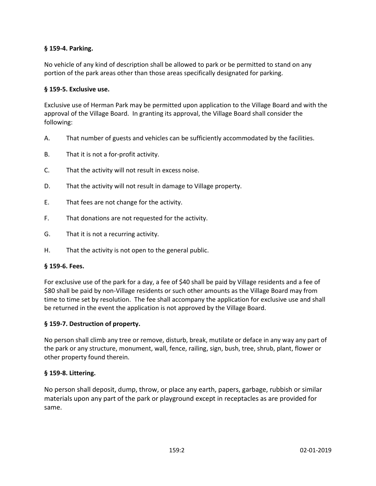# **§ 159-4. Parking.**

No vehicle of any kind of description shall be allowed to park or be permitted to stand on any portion of the park areas other than those areas specifically designated for parking.

# **§ 159-5. Exclusive use.**

Exclusive use of Herman Park may be permitted upon application to the Village Board and with the approval of the Village Board. In granting its approval, the Village Board shall consider the following:

- A. That number of guests and vehicles can be sufficiently accommodated by the facilities.
- B. That it is not a for-profit activity.
- C. That the activity will not result in excess noise.
- D. That the activity will not result in damage to Village property.
- E. That fees are not change for the activity.
- F. That donations are not requested for the activity.
- G. That it is not a recurring activity.
- H. That the activity is not open to the general public.

#### **§ 159-6. Fees.**

For exclusive use of the park for a day, a fee of \$40 shall be paid by Village residents and a fee of \$80 shall be paid by non-Village residents or such other amounts as the Village Board may from time to time set by resolution. The fee shall accompany the application for exclusive use and shall be returned in the event the application is not approved by the Village Board.

# **§ 159-7. Destruction of property.**

No person shall climb any tree or remove, disturb, break, mutilate or deface in any way any part of the park or any structure, monument, wall, fence, railing, sign, bush, tree, shrub, plant, flower or other property found therein.

#### **§ 159-8. Littering.**

No person shall deposit, dump, throw, or place any earth, papers, garbage, rubbish or similar materials upon any part of the park or playground except in receptacles as are provided for same.